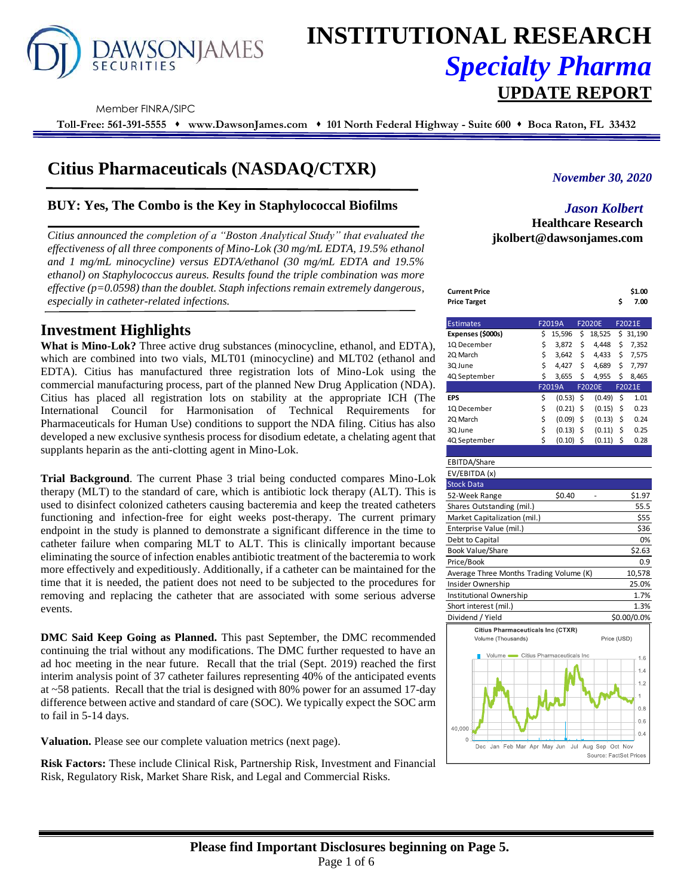

# **INSTITUTIONAL RESEARCH** *Specialty Pharma*  **UPDATE REPORT**

Member FINRA/SIPC

**Toll-Free: 561-391-5555** ⬧ **www.DawsonJames.com** ⬧ **101 North Federal Highway - Suite 600** ⬧ **Boca Raton, FL 33432**

# **Citius Pharmaceuticals (NASDAQ/CTXR)**

# **BUY: Yes, The Combo is the Key in Staphylococcal Biofilms**

*Citius announced the completion of a "Boston Analytical Study" that evaluated the effectiveness of all three components of Mino-Lok (30 mg/mL EDTA, 19.5% ethanol and 1 mg/mL minocycline) versus EDTA/ethanol (30 mg/mL EDTA and 19.5% ethanol) on Staphylococcus aureus. Results found the triple combination was more effective (p=0.0598) than the doublet. Staph infections remain extremely dangerous, especially in catheter-related infections.*

# **Investment Highlights**

**What is Mino-Lok?** Three active drug substances (minocycline, ethanol, and EDTA), which are combined into two vials, MLT01 (minocycline) and MLT02 (ethanol and EDTA). Citius has manufactured three registration lots of Mino-Lok using the commercial manufacturing process, part of the planned New Drug Application (NDA). Citius has placed all registration lots on stability at the appropriate ICH (The International Council for Harmonisation of Technical Requirements for Pharmaceuticals for Human Use) conditions to support the NDA filing. Citius has also developed a new exclusive synthesis process for disodium edetate, a chelating agent that supplants heparin as the anti-clotting agent in Mino-Lok.

**Trial Background**. The current Phase 3 trial being conducted compares Mino-Lok therapy (MLT) to the standard of care, which is antibiotic lock therapy (ALT). This is used to disinfect colonized catheters causing bacteremia and keep the treated catheters functioning and infection-free for eight weeks post-therapy. The current primary endpoint in the study is planned to demonstrate a significant difference in the time to catheter failure when comparing MLT to ALT. This is clinically important because eliminating the source of infection enables antibiotic treatment of the bacteremia to work more effectively and expeditiously. Additionally, if a catheter can be maintained for the time that it is needed, the patient does not need to be subjected to the procedures for removing and replacing the catheter that are associated with some serious adverse events.

**DMC Said Keep Going as Planned.** This past September, the DMC recommended continuing the trial without any modifications. The DMC further requested to have an ad hoc meeting in the near future. Recall that the trial (Sept. 2019) reached the first interim analysis point of 37 catheter failures representing 40% of the anticipated events at ~58 patients. Recall that the trial is designed with 80% power for an assumed 17-day difference between active and standard of care (SOC). We typically expect the SOC arm to fail in 5-14 days.

**Valuation.** Please see our complete valuation metrics (next page).

**Risk Factors:** These include Clinical Risk, Partnership Risk, Investment and Financial Risk, Regulatory Risk, Market Share Risk, and Legal and Commercial Risks.

# *November 30, 2020*

# *Jason Kolbert* **Healthcare Research jkolbert@dawsonjames.com**

| Current Price | \$1.00 |
|---------------|--------|
| Price Target  | 7.00   |

| <b>Estimates</b>  | F2019A |        | <b>F2020E</b> |    | F2021E   |
|-------------------|--------|--------|---------------|----|----------|
| Expenses (\$000s) | \$     | 15,596 | \$<br>18,525  |    | \$31,190 |
| 1Q December       | \$     | 3,872  | \$<br>4.448   | \$ | 7,352    |
| 2Q March          | \$     | 3,642  | \$<br>4,433   | \$ | 7,575    |
| 3Q June           | \$     | 4.427  | \$<br>4,689   | \$ | 7,797    |
| 4Q September      | \$     | 3,655  | \$<br>4,955   | \$ | 8,465    |
|                   |        | F2019A | <b>F2020E</b> |    | F2021E   |
| EPS               | \$     | (0.53) | \$<br>(0.49)  | \$ | 1.01     |
| 1Q December       | \$     | (0.21) | \$<br>(0.15)  | \$ | 0.23     |
| 2Q March          | \$     | (0.09) | \$<br>(0.13)  | \$ | 0.24     |
| 3Q June           | \$     | (0.13) | \$<br>(0.11)  | Ś  | 0.25     |
| 4Q September      | Ś      | (0.10) | \$<br>(0.11)  | \$ | 0.28     |

#### EBITDA/Share EV/EBITDA (x)

| $L$ v/LDIIDA(A)                         |             |
|-----------------------------------------|-------------|
| <b>Stock Data</b>                       |             |
| \$0.40<br>52-Week Range                 | \$1.97      |
| Shares Outstanding (mil.)               | 55.5        |
| Market Capitalization (mil.)            | \$55        |
| Enterprise Value (mil.)                 | \$36        |
| Debt to Capital                         | 0%          |
| <b>Book Value/Share</b>                 | \$2.63      |
| Price/Book                              | 0.9         |
| Average Three Months Trading Volume (K) | 10,578      |
| Insider Ownership                       | 25.0%       |
| Institutional Ownership                 | 1.7%        |
| Short interest (mil.)                   | 1.3%        |
| Dividend / Yield                        | \$0.00/0.0% |
| Citius Pharmaceuticals Inc (CTXR)       |             |
| Volume (Thousands)                      | Price (USD) |
|                                         |             |

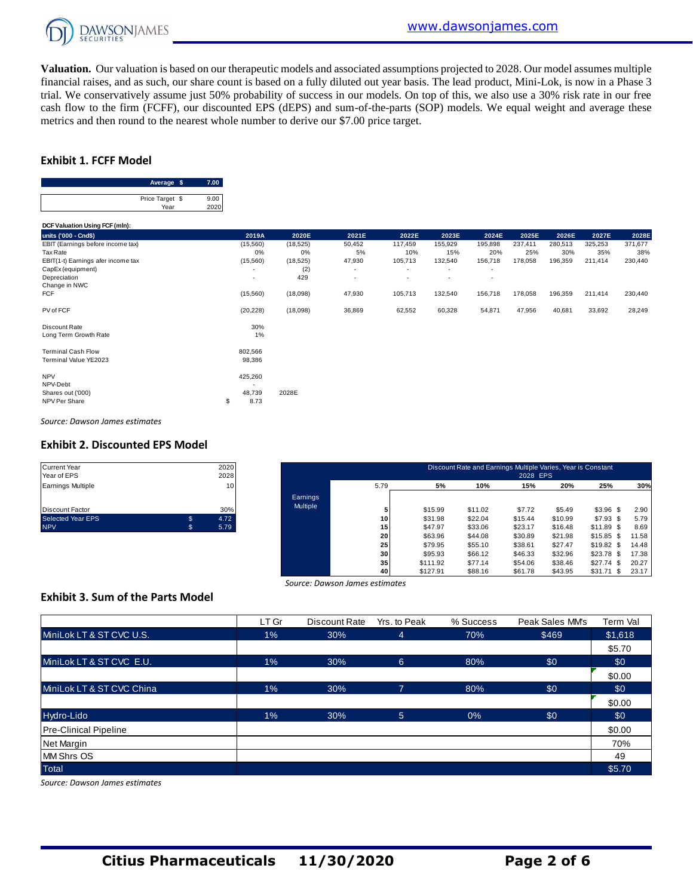

**Valuation.** Our valuation is based on our therapeutic models and associated assumptions projected to 2028. Our model assumes multiple financial raises, and as such, our share count is based on a fully diluted out year basis. The lead product, Mini-Lok, is now in a Phase 3 trial. We conservatively assume just 50% probability of success in our models. On top of this, we also use a 30% risk rate in our free cash flow to the firm (FCFF), our discounted EPS (dEPS) and sum-of-the-parts (SOP) models. We equal weight and average these metrics and then round to the nearest whole number to derive our \$7.00 price target.

# **Exhibit 1. FCFF Model**

| Average \$      |      |
|-----------------|------|
|                 |      |
| Price Target \$ | 9.00 |
| Year            |      |

| Price Target \$<br>9.00<br>2020<br>Year |                          |           |        |                          |                          |         |         |         |         |         |
|-----------------------------------------|--------------------------|-----------|--------|--------------------------|--------------------------|---------|---------|---------|---------|---------|
| DCF Valuation Using FCF (mln):          |                          |           |        |                          |                          |         |         |         |         |         |
| units ('000 - Cnd\$)                    | 2019A                    | 2020E     | 2021E  | 2022E                    | 2023E                    | 2024E   | 2025E   | 2026E   | 2027E   | 2028E   |
| EBIT (Earnings before income tax)       | (15, 560)                | (18, 525) | 50,452 | 117,459                  | 155,929                  | 195,898 | 237,411 | 280,513 | 325,253 | 371,677 |
| Tax Rate                                | 0%                       | 0%        | 5%     | 10%                      | 15%                      | 20%     | 25%     | 30%     | 35%     | 38%     |
| EBIT(1-t) Earnings afer income tax      | (15, 560)                | (18, 525) | 47,930 | 105,713                  | 132,540                  | 156,718 | 178,058 | 196,359 | 211,414 | 230,440 |
| CapEx (equipment)                       |                          | (2)       | ٠      | $\overline{\phantom{a}}$ | ٠                        | ٠       |         |         |         |         |
| Depreciation                            | $\overline{\phantom{a}}$ | 429       | ٠      | $\overline{\phantom{a}}$ | $\overline{\phantom{a}}$ | ٠       |         |         |         |         |
| Change in NWC                           |                          |           |        |                          |                          |         |         |         |         |         |
| <b>FCF</b>                              | (15, 560)                | (18,098)  | 47,930 | 105,713                  | 132,540                  | 156,718 | 178,058 | 196,359 | 211,414 | 230,440 |
| PV of FCF                               | (20, 228)                | (18,098)  | 36,869 | 62,552                   | 60,328                   | 54,871  | 47,956  | 40,681  | 33,692  | 28,249  |
| Discount Rate                           | 30%                      |           |        |                          |                          |         |         |         |         |         |
| Long Term Growth Rate                   | 1%                       |           |        |                          |                          |         |         |         |         |         |
| <b>Terminal Cash Flow</b>               | 802,566                  |           |        |                          |                          |         |         |         |         |         |
| Terminal Value YE2023                   | 98,386                   |           |        |                          |                          |         |         |         |         |         |
| <b>NPV</b>                              | 425,260                  |           |        |                          |                          |         |         |         |         |         |
| NPV-Debt                                |                          |           |        |                          |                          |         |         |         |         |         |
| Shares out ('000)                       | 48,739                   | 2028E     |        |                          |                          |         |         |         |         |         |
| NPV Per Share                           | 8.73<br>\$               |           |        |                          |                          |         |         |         |         |         |

*Source: Dawson James estimates*

#### **Exhibit 2. Discounted EPS Model**

| <b>Current Year</b>      |    | 2020 |
|--------------------------|----|------|
| Year of EPS              |    | 2028 |
| <b>Earnings Multiple</b> |    | 10   |
|                          |    |      |
| <b>Discount Factor</b>   |    | 30%  |
| <b>Selected Year EPS</b> | \$ | 4.72 |
| <b>NPV</b>               | S. | 5.79 |

| Current Year<br>Year of EPS |    | 2020<br>2028    |          |                 |          | Discount Rate and Earnings Multiple Varies, Year is Constant | 2028 EPS |         |                 |       |
|-----------------------------|----|-----------------|----------|-----------------|----------|--------------------------------------------------------------|----------|---------|-----------------|-------|
| Earnings Multiple           |    | 10 <sup>1</sup> |          | 5.79            | 5%       | 10%                                                          | 15%      | 20%     | 25%             | 30%   |
|                             |    |                 | Earnings |                 |          |                                                              |          |         |                 |       |
| Discount Factor             |    | 30%             | Multiple |                 | \$15.99  | \$11.02                                                      | \$7.72   | \$5.49  | $$3.96$ \$      | 2.90  |
| Selected Year EPS           | \$ | 4.72            |          | 10 <sup>1</sup> | \$31.98  | \$22.04                                                      | \$15.44  | \$10.99 | \$7.93\$        | 5.79  |
| <b>NPV</b>                  | S. | 5.79            |          | 15              | \$47.97  | \$33.06                                                      | \$23.17  | \$16.48 | \$11.89 \$      | 8.69  |
|                             |    |                 |          | 20              | \$63.96  | \$44.08                                                      | \$30.89  | \$21.98 | $$15.85$ \$     | 11.58 |
|                             |    |                 |          | 25              | \$79.95  | \$55.10                                                      | \$38.61  | \$27.47 | $$19.82$ \$     | 14.48 |
|                             |    |                 |          | 30 <sup>1</sup> | \$95.93  | \$66.12                                                      | \$46.33  | \$32.96 | $$23.78$ \$     | 17.38 |
|                             |    |                 |          | 35              | \$111.92 | \$77.14                                                      | \$54.06  | \$38.46 | \$27.74<br>- S  | 20.27 |
|                             |    |                 |          | 40              | \$127.91 | \$88.16                                                      | \$61.78  | \$43.95 | \$31.71<br>- \$ | 23.17 |

# **Exhibit 3. Sum of the Parts Model**

|                                          |       | Source: Dawson James estimates |              |           |                 |          |
|------------------------------------------|-------|--------------------------------|--------------|-----------|-----------------|----------|
| <b>Exhibit 3. Sum of the Parts Model</b> |       |                                |              |           |                 |          |
|                                          | LT Gr | Discount Rate                  | Yrs, to Peak | % Success | Peak Sales MM's | Term Val |
| MiniLok LT & ST CVC U.S.                 | $1\%$ | 30%                            | 4            | 70%       | \$469           | \$1,618  |
|                                          |       |                                |              |           |                 | \$5.70   |
| MiniLok LT & ST CVC E.U.                 | $1\%$ | 30%                            | 6            | 80%       | \$0             | \$0      |
|                                          |       |                                |              |           |                 | \$0.00   |
| MiniLok LT & ST CVC China                | $1\%$ | 30%                            | 7            | 80%       | \$0             | \$0      |
|                                          |       |                                |              |           |                 | \$0.00   |
| Hydro-Lido                               | $1\%$ | 30%                            | 5            | 0%        | \$0             | \$0      |
| <b>Pre-Clinical Pipeline</b>             |       |                                |              |           |                 | \$0.00   |
| Net Margin                               |       |                                |              |           |                 | 70%      |
| <b>MM Shrs OS</b>                        |       |                                |              |           |                 | 49       |
| <b>Total</b>                             |       |                                |              |           |                 | \$5.70   |

*Source: Dawson James estimates*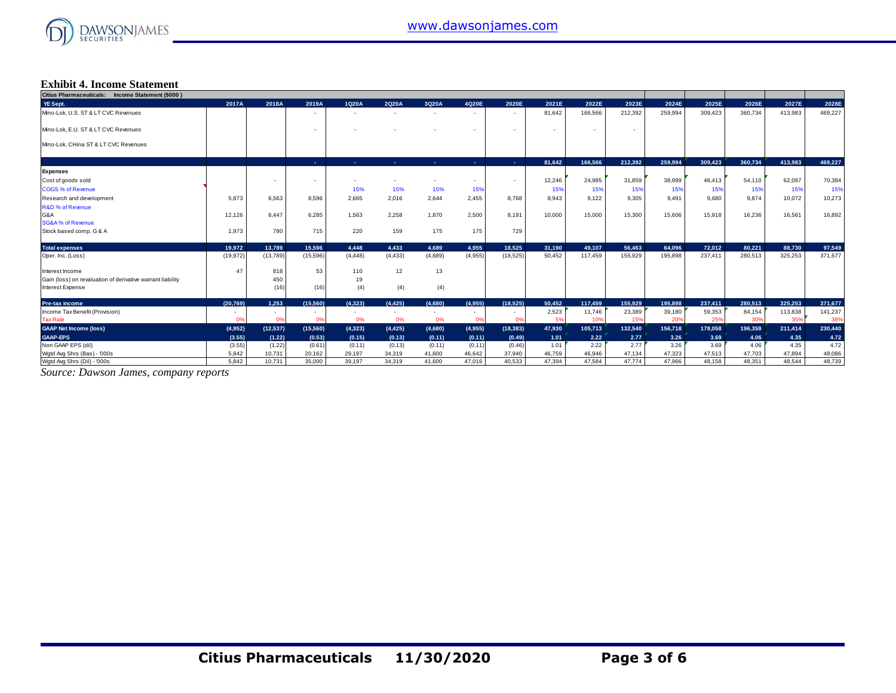

# **Exhibit 4. Income Statement**

| Citius Pharmaceuticals: Income Statement (\$000)           |           |                |           |                          |                          |                |                |                          |                          |         |         |         |         |         |         |         |
|------------------------------------------------------------|-----------|----------------|-----------|--------------------------|--------------------------|----------------|----------------|--------------------------|--------------------------|---------|---------|---------|---------|---------|---------|---------|
| YE Sept.                                                   | 2017A     | 2018A          | 2019A     | 1Q20A                    | 2Q20A                    | 3Q20A          | 4Q20E          | 2020E                    | 2021E                    | 2022E   | 2023E   | 2024E   | 2025E   | 2026E   | 2027E   | 2028E   |
| Mino-Lok, U.S. ST & LT CVC Revenues                        |           |                | $\sim$    | $\overline{\phantom{a}}$ | $\sim$                   | <b>.</b>       | $\sim$         | $\overline{\phantom{a}}$ | 81,642                   | 166,566 | 212,392 | 259,994 | 309,423 | 360,734 | 413,983 | 469,227 |
| Mino-Lok, E.U. ST & LT CVC Revenues                        |           |                | $\sim$    |                          |                          |                | $\sim$         | $\overline{\phantom{a}}$ | $\overline{\phantom{a}}$ | $\sim$  | $\sim$  |         |         |         |         |         |
| Mino-Lok, CHina ST & LT CVC Revenues                       |           |                |           |                          |                          |                |                |                          |                          |         |         |         |         |         |         |         |
|                                                            |           |                | a.        | ×.                       | ×.                       | <b>Section</b> | <b>Section</b> | <b>A</b>                 | 81,642                   | 166.566 | 212.392 | 259,994 | 309.423 | 360,734 | 413,983 | 469,227 |
| <b>Expenses</b>                                            |           |                |           |                          |                          |                |                |                          |                          |         |         |         |         |         |         |         |
| Cost of goods sold                                         |           |                | $\sim$    |                          |                          |                | $\sim$         | $\overline{\phantom{a}}$ | 12,246                   | 24,985  | 31,859  | 38,999  | 46,413  | 54,110  | 62,097  | 70,384  |
| <b>COGS % of Revenue</b>                                   |           |                |           | 15%                      | 15%                      | 15%            | 15%            |                          | 15%                      | 15%     | 15%     | 15%     | 15%     | 15%     | 15%     | 15%     |
| Research and development                                   | 5.873     | 6.563          | 8.596     | 2.665                    | 2,016                    | 2,644          | 2,455          | 8.768                    | 8.943                    | 9.122   | 9.305   | 9.491   | 9.680   | 9.874   | 10,072  | 10,273  |
| <b>R&amp;D % of Revenue</b>                                |           |                |           |                          |                          |                |                |                          |                          |         |         |         |         |         |         |         |
| G&A                                                        | 12.126    | 6.447          | 6.285     | 1.563                    | 2,258                    | 1,870          | 2,500          | 8.191                    | 10,000                   | 15,000  | 15,300  | 15,606  | 15.918  | 16.236  | 16,561  | 16,892  |
| <b>SG&amp;A % of Revenue</b>                               |           |                |           |                          |                          |                |                |                          |                          |         |         |         |         |         |         |         |
| Stock based comp. G & A                                    | 1,973     | 780            | 715       | 220                      | 159                      | 175            | 175            | 729                      |                          |         |         |         |         |         |         |         |
| <b>Total expenses</b>                                      | 19.972    | 13.789         | 15.596    | 4.448                    | 4.433                    | 4.689          | 4.955          | 18.525                   | 31.190                   | 49.107  | 56.463  | 64.096  | 72.012  | 80.221  | 88.730  | 97,549  |
| Oper. Inc. (Loss)                                          | (19, 972) | (13,789)       | (15, 596) | (4, 448)                 | (4, 433)                 | (4,689)        | (4,955)        | (18, 525)                | 50,452                   | 117.459 | 155,929 | 195,898 | 237,411 | 280,513 | 325,253 | 371,677 |
| Interest Income                                            | 47        | 818            | 53        | 110                      | 12                       | 13             |                |                          |                          |         |         |         |         |         |         |         |
| Gain (loss) on revaluation of derivative warrant liability |           | 450            |           | 19                       |                          |                |                |                          |                          |         |         |         |         |         |         |         |
| Interest Expense                                           |           | (16)           | (16)      | (4)                      | (4)                      | (4)            |                |                          |                          |         |         |         |         |         |         |         |
| Pre-tax income                                             | (20.769)  | 1.253          | (15, 560) | (4.323)                  | (4.425)                  | (4.680)        | (4.955)        | (18.525)                 | 50.452                   | 117,459 | 155.929 | 195.898 | 237.411 | 280.513 | 325.253 | 371,677 |
| Income Tax Benefit (Provision)                             |           | $\sim$         | $\sim$    | $\overline{\phantom{a}}$ | $\overline{\phantom{a}}$ |                | $\sim$         | $\overline{\phantom{a}}$ | 2,523                    | 11,746  | 23,389  | 39,180  | 59,353  | 84,154  | 113,838 | 141,237 |
| <b>Tax Rate</b>                                            | 0%        | 0 <sup>9</sup> | 0%        | 0%                       | 0%                       | 0%             | 0°             | 0%                       | 5%                       | 10%     | 15%     | 20%     | 25%     | 30%     | 35%     | 38%     |
| <b>GAAP Net Income (loss)</b>                              | (4,952)   | (12, 537)      | (15, 560) | (4, 323)                 | (4, 425)                 | (4,680)        | (4,955)        | (18, 383)                | 47,930                   | 105,713 | 132,540 | 156,718 | 178,058 | 196,359 | 211,414 | 230,440 |
| <b>GAAP-EPS</b>                                            | (3.55)    | (1.22)         | (0.53)    | (0.15)                   | (0.13)                   | (0.11)         | (0.11)         | (0.49)                   | 1.01                     | 2.22    | 2.77    | 3.26    | 3.69    | 4.06    | 4.35    | 4.72    |
| Non GAAP EPS (dil)                                         | (3.55)    | (1.22)         | (0.61)    | (0.11)                   | (0.13)                   | (0.11)         | (0.11)         | (0.46)                   | 1.01                     | 2.22    | 2.77    | 3.26    | 3.69    | 4.06    | 4.35    | 4.72    |
| Wgtd Avg Shrs (Bas) - '000s                                | 5,842     | 10,731         | 20,162    | 29,197                   | 34,319                   | 41,600         | 46,642         | 37,940                   | 46,759                   | 46,946  | 47,134  | 47,323  | 47,513  | 47,703  | 47,894  | 48,086  |
| Wgtd Avg Shrs (Dil) - '000s                                | 5.842     | 10.731         | 35,000    | 39.197                   | 34.319                   | 41.600         | 47.016         | 40.533                   | 47.394                   | 47.584  | 47.774  | 47.966  | 48.158  | 48.351  | 48.544  | 48.739  |

*Source: Dawson James, company reports*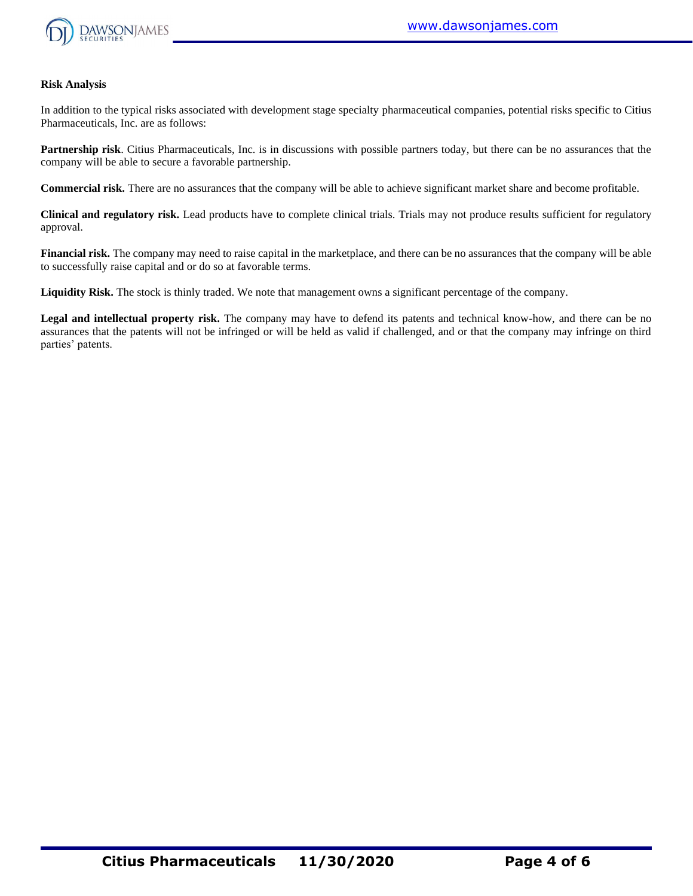

#### **Risk Analysis**

In addition to the typical risks associated with development stage specialty pharmaceutical companies, potential risks specific to Citius Pharmaceuticals, Inc. are as follows:

**Partnership risk**. Citius Pharmaceuticals, Inc. is in discussions with possible partners today, but there can be no assurances that the company will be able to secure a favorable partnership.

**Commercial risk.** There are no assurances that the company will be able to achieve significant market share and become profitable.

**Clinical and regulatory risk.** Lead products have to complete clinical trials. Trials may not produce results sufficient for regulatory approval.

**Financial risk.** The company may need to raise capital in the marketplace, and there can be no assurances that the company will be able to successfully raise capital and or do so at favorable terms.

**Liquidity Risk.** The stock is thinly traded. We note that management owns a significant percentage of the company.

**Legal and intellectual property risk.** The company may have to defend its patents and technical know-how, and there can be no assurances that the patents will not be infringed or will be held as valid if challenged, and or that the company may infringe on third parties' patents.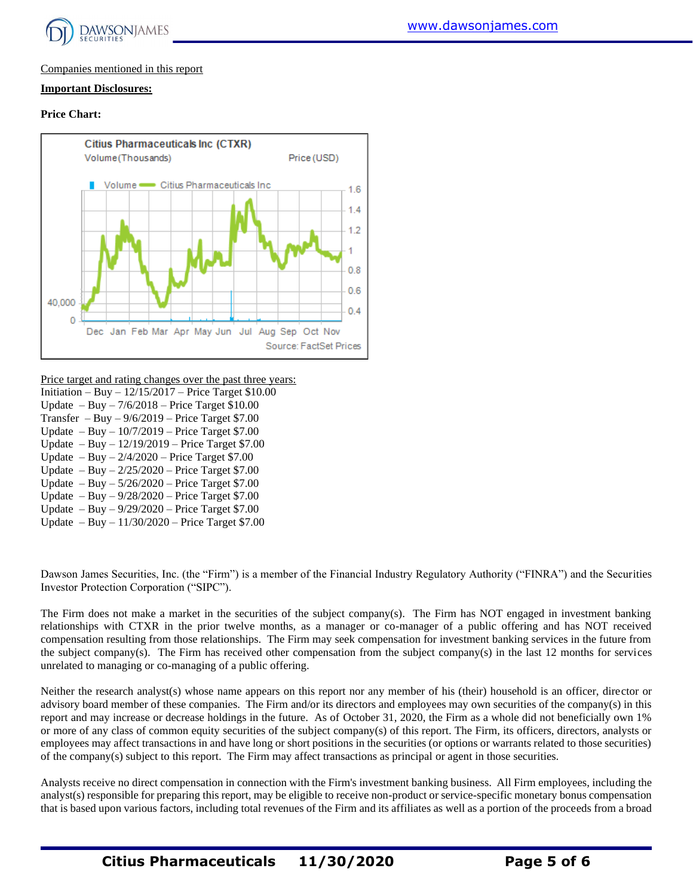

## Companies mentioned in this report

## **Important Disclosures:**

#### **Price Chart:**



Price target and rating changes over the past three years:

- Initiation Buy 12/15/2017 Price Target \$10.00 Update – Buy – 7/6/2018 – Price Target \$10.00 Transfer – Buy –  $9/6/2019$  – Price Target \$7.00 Update – Buy – 10/7/2019 – Price Target \$7.00 Update – Buy – 12/19/2019 – Price Target \$7.00 Update – Buy –  $2/4/2020$  – Price Target \$7.00 Update – Buy – 2/25/2020 – Price Target \$7.00 Update – Buy – 5/26/2020 – Price Target \$7.00 Update – Buy – 9/28/2020 – Price Target \$7.00
- Update Buy 9/29/2020 Price Target \$7.00
- Update Buy 11/30/2020 Price Target \$7.00

Dawson James Securities, Inc. (the "Firm") is a member of the Financial Industry Regulatory Authority ("FINRA") and the Securities Investor Protection Corporation ("SIPC").

The Firm does not make a market in the securities of the subject company(s). The Firm has NOT engaged in investment banking relationships with CTXR in the prior twelve months, as a manager or co-manager of a public offering and has NOT received compensation resulting from those relationships. The Firm may seek compensation for investment banking services in the future from the subject company(s). The Firm has received other compensation from the subject company(s) in the last 12 months for services unrelated to managing or co-managing of a public offering.

Neither the research analyst(s) whose name appears on this report nor any member of his (their) household is an officer, director or advisory board member of these companies. The Firm and/or its directors and employees may own securities of the company(s) in this report and may increase or decrease holdings in the future. As of October 31, 2020, the Firm as a whole did not beneficially own 1% or more of any class of common equity securities of the subject company(s) of this report. The Firm, its officers, directors, analysts or employees may affect transactions in and have long or short positions in the securities (or options or warrants related to those securities) of the company(s) subject to this report. The Firm may affect transactions as principal or agent in those securities.

Analysts receive no direct compensation in connection with the Firm's investment banking business. All Firm employees, including the analyst(s) responsible for preparing this report, may be eligible to receive non-product or service-specific monetary bonus compensation that is based upon various factors, including total revenues of the Firm and its affiliates as well as a portion of the proceeds from a broad